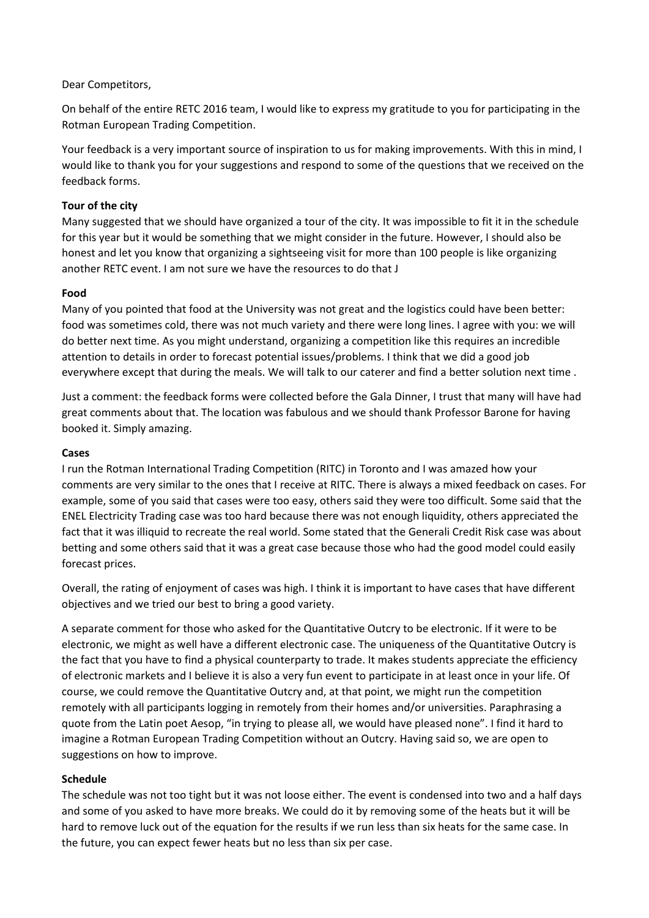## Dear Competitors,

On behalf of the entire RETC 2016 team, I would like to express my gratitude to you for participating in the Rotman European Trading Competition.

Your feedback is a very important source of inspiration to us for making improvements. With this in mind, I would like to thank you for your suggestions and respond to some of the questions that we received on the feedback forms.

# **Tour of the city**

Many suggested that we should have organized a tour of the city. It was impossible to fit it in the schedule for this year but it would be something that we might consider in the future. However, I should also be honest and let you know that organizing a sightseeing visit for more than 100 people is like organizing another RETC event. I am not sure we have the resources to do that J

## **Food**

Many of you pointed that food at the University was not great and the logistics could have been better: food was sometimes cold, there was not much variety and there were long lines. I agree with you: we will do better next time. As you might understand, organizing a competition like this requires an incredible attention to details in order to forecast potential issues/problems. I think that we did a good job everywhere except that during the meals. We will talk to our caterer and find a better solution next time .

Just a comment: the feedback forms were collected before the Gala Dinner, I trust that many will have had great comments about that. The location was fabulous and we should thank Professor Barone for having booked it. Simply amazing.

#### **Cases**

I run the Rotman International Trading Competition (RITC) in Toronto and I was amazed how your comments are very similar to the ones that I receive at RITC. There is always a mixed feedback on cases. For example, some of you said that cases were too easy, others said they were too difficult. Some said that the ENEL Electricity Trading case was too hard because there was not enough liquidity, others appreciated the fact that it was illiquid to recreate the real world. Some stated that the Generali Credit Risk case was about betting and some others said that it was a great case because those who had the good model could easily forecast prices.

Overall, the rating of enjoyment of cases was high. I think it is important to have cases that have different objectives and we tried our best to bring a good variety.

A separate comment for those who asked for the Quantitative Outcry to be electronic. If it were to be electronic, we might as well have a different electronic case. The uniqueness of the Quantitative Outcry is the fact that you have to find a physical counterparty to trade. It makes students appreciate the efficiency of electronic markets and I believe it is also a very fun event to participate in at least once in your life. Of course, we could remove the Quantitative Outcry and, at that point, we might run the competition remotely with all participants logging in remotely from their homes and/or universities. Paraphrasing a quote from the Latin poet Aesop, "in trying to please all, we would have pleased none". I find it hard to imagine a Rotman European Trading Competition without an Outcry. Having said so, we are open to suggestions on how to improve.

### **Schedule**

The schedule was not too tight but it was not loose either. The event is condensed into two and a half days and some of you asked to have more breaks. We could do it by removing some of the heats but it will be hard to remove luck out of the equation for the results if we run less than six heats for the same case. In the future, you can expect fewer heats but no less than six per case.